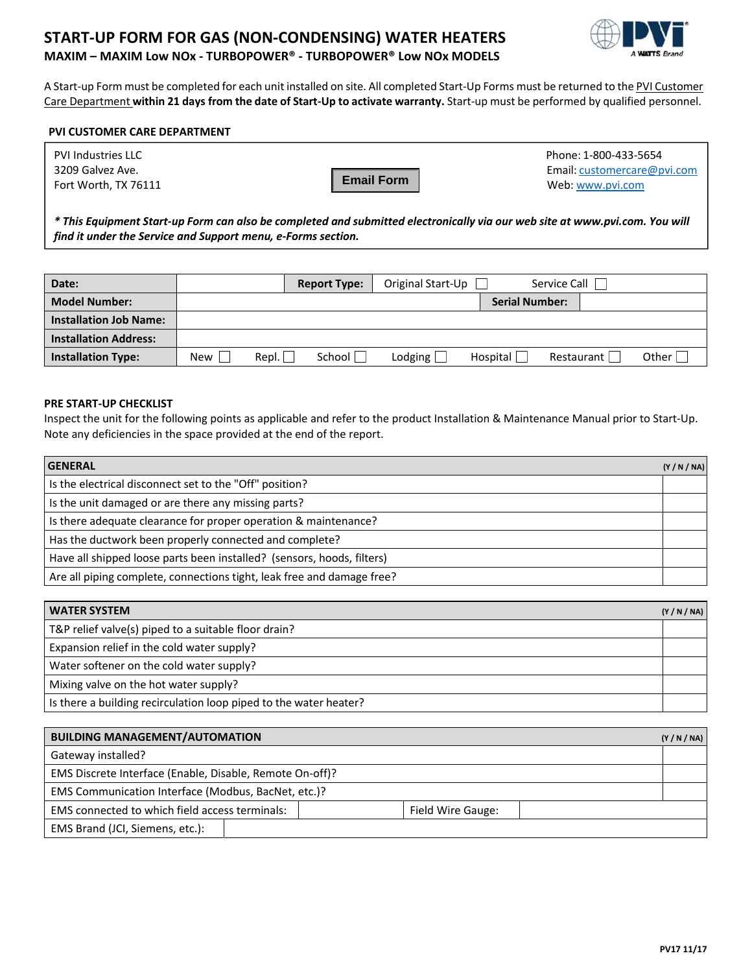## **START‐UP FORM FOR GAS (NON‐CONDENSING) WATER HEATERS MAXIM – MAXIM Low NOx ‐ TURBOPOWER® ‐ TURBOPOWER® Low NOx MODELS**



A Start‐up Form must be completed for each unit installed on site. All completed Start‐Up Forms must be returned to the PVI Customer Care Department **within 21 days from the date of Start‐Up to activate warranty.** Start‐up must be performed by qualified personnel.

### **PVI CUSTOMER CARE DEPARTMENT**

| PVI Industries LLC   |                   | Phone: 1-800-433-5654       |
|----------------------|-------------------|-----------------------------|
| 3209 Galvez Ave.     |                   | Email: customercare@pvi.com |
| Fort Worth, TX 76111 | <b>Email Form</b> | Web: www.pvi.com            |

\* This Equipment Start-up Form can also be completed and submitted electronically via our web site at www.pvi.com. You will *find it under the Service and Support menu, e‐Forms section.*

| Date:                         |            |       | <b>Report Type:</b> | Original Start-Up |                       | Service Call |         |
|-------------------------------|------------|-------|---------------------|-------------------|-----------------------|--------------|---------|
| <b>Model Number:</b>          |            |       |                     |                   | <b>Serial Number:</b> |              |         |
| <b>Installation Job Name:</b> |            |       |                     |                   |                       |              |         |
| <b>Installation Address:</b>  |            |       |                     |                   |                       |              |         |
| <b>Installation Type:</b>     | <b>New</b> | Repl. | School              | Lodging $\lfloor$ | Hospital              | Restaurant   | Other I |

#### **PRE START‐UP CHECKLIST**

Inspect the unit for the following points as applicable and refer to the product Installation & Maintenance Manual prior to Start‐Up. Note any deficiencies in the space provided at the end of the report.

| <b>GENERAL</b>                                                         | (Y/N/N) |
|------------------------------------------------------------------------|---------|
| Is the electrical disconnect set to the "Off" position?                |         |
| Is the unit damaged or are there any missing parts?                    |         |
| Is there adequate clearance for proper operation & maintenance?        |         |
| Has the ductwork been properly connected and complete?                 |         |
| Have all shipped loose parts been installed? (sensors, hoods, filters) |         |
| Are all piping complete, connections tight, leak free and damage free? |         |

| <b>WATER SYSTEM</b>                                               | (Y/N/N) |
|-------------------------------------------------------------------|---------|
| T&P relief valve(s) piped to a suitable floor drain?              |         |
| Expansion relief in the cold water supply?                        |         |
| Water softener on the cold water supply?                          |         |
| Mixing valve on the hot water supply?                             |         |
| Is there a building recirculation loop piped to the water heater? |         |

| <b>BUILDING MANAGEMENT/AUTOMATION</b>                    |                   | (Y/N/N) |  |  |  |
|----------------------------------------------------------|-------------------|---------|--|--|--|
| Gateway installed?                                       |                   |         |  |  |  |
| EMS Discrete Interface (Enable, Disable, Remote On-off)? |                   |         |  |  |  |
| EMS Communication Interface (Modbus, BacNet, etc.)?      |                   |         |  |  |  |
| EMS connected to which field access terminals:           | Field Wire Gauge: |         |  |  |  |
| EMS Brand (JCI, Siemens, etc.):                          |                   |         |  |  |  |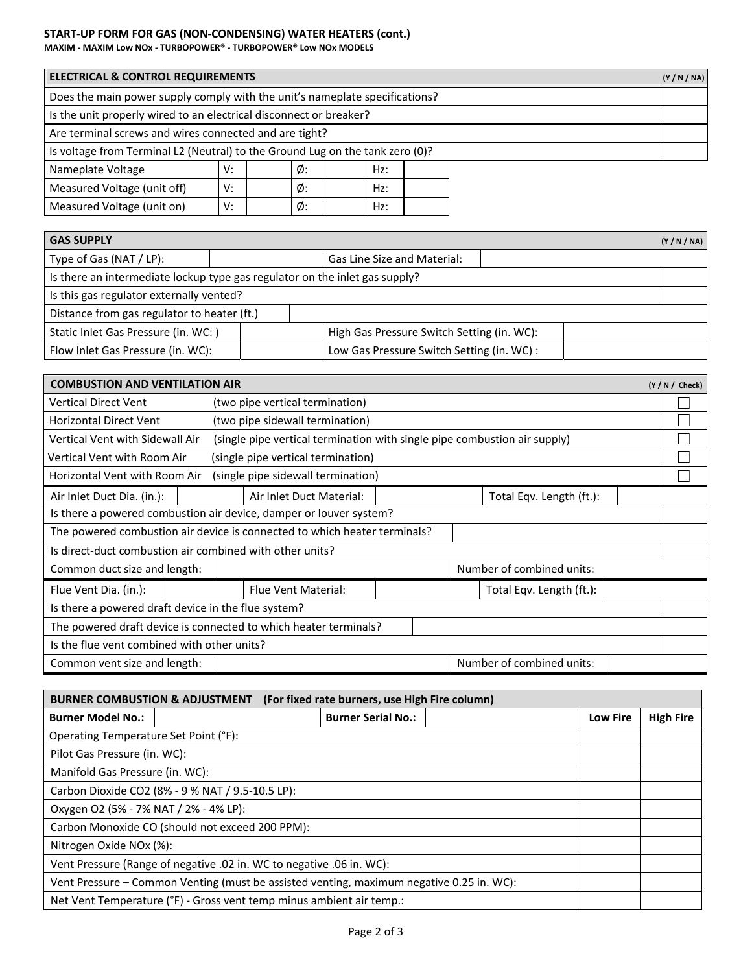# **START‐UP FORM FOR GAS (NON‐CONDENSING) WATER HEATERS (cont.)**

**MAXIM ‐ MAXIM Low NOx ‐ TURBOPOWER® ‐ TURBOPOWER® Low NOx MODELS** 

| <b>ELECTRICAL &amp; CONTROL REQUIREMENTS</b>                                  |    |    |     |  |  | (Y/N/N) |  |
|-------------------------------------------------------------------------------|----|----|-----|--|--|---------|--|
| Does the main power supply comply with the unit's nameplate specifications?   |    |    |     |  |  |         |  |
| Is the unit properly wired to an electrical disconnect or breaker?            |    |    |     |  |  |         |  |
| Are terminal screws and wires connected and are tight?                        |    |    |     |  |  |         |  |
| Is voltage from Terminal L2 (Neutral) to the Ground Lug on the tank zero (0)? |    |    |     |  |  |         |  |
| Nameplate Voltage                                                             | V: | Ø: | Hz: |  |  |         |  |
| Ø:<br>Measured Voltage (unit off)<br>V:<br>Hz:                                |    |    |     |  |  |         |  |
| Measured Voltage (unit on)                                                    | v: | Ø: | Hz: |  |  |         |  |

| <b>GAS SUPPLY</b>                                                           |  |                                            |                             |  |  | (Y/N/N) |
|-----------------------------------------------------------------------------|--|--------------------------------------------|-----------------------------|--|--|---------|
| Type of Gas (NAT / LP):                                                     |  |                                            | Gas Line Size and Material: |  |  |         |
| Is there an intermediate lockup type gas regulator on the inlet gas supply? |  |                                            |                             |  |  |         |
| Is this gas regulator externally vented?                                    |  |                                            |                             |  |  |         |
| Distance from gas regulator to heater (ft.)                                 |  |                                            |                             |  |  |         |
| Static Inlet Gas Pressure (in. WC: )                                        |  | High Gas Pressure Switch Setting (in. WC): |                             |  |  |         |
| Flow Inlet Gas Pressure (in. WC):                                           |  | Low Gas Pressure Switch Setting (in. WC) : |                             |  |  |         |

| <b>COMBUSTION AND VENTILATION AIR</b>                            |  |  |                                                                           |  |  |  |                           |  | $(Y/N /$ Check) |
|------------------------------------------------------------------|--|--|---------------------------------------------------------------------------|--|--|--|---------------------------|--|-----------------|
| Vertical Direct Vent                                             |  |  | (two pipe vertical termination)                                           |  |  |  |                           |  |                 |
| <b>Horizontal Direct Vent</b>                                    |  |  | (two pipe sidewall termination)                                           |  |  |  |                           |  |                 |
| Vertical Vent with Sidewall Air                                  |  |  | (single pipe vertical termination with single pipe combustion air supply) |  |  |  |                           |  |                 |
| Vertical Vent with Room Air                                      |  |  | (single pipe vertical termination)                                        |  |  |  |                           |  |                 |
| Horizontal Vent with Room Air                                    |  |  | (single pipe sidewall termination)                                        |  |  |  |                           |  |                 |
| Air Inlet Duct Dia. (in.):                                       |  |  | Air Inlet Duct Material:<br>Total Eqv. Length (ft.):                      |  |  |  |                           |  |                 |
|                                                                  |  |  | Is there a powered combustion air device, damper or louver system?        |  |  |  |                           |  |                 |
|                                                                  |  |  | The powered combustion air device is connected to which heater terminals? |  |  |  |                           |  |                 |
| Is direct-duct combustion air combined with other units?         |  |  |                                                                           |  |  |  |                           |  |                 |
| Common duct size and length:                                     |  |  |                                                                           |  |  |  | Number of combined units: |  |                 |
| Flue Vent Dia. (in.):                                            |  |  | <b>Flue Vent Material:</b>                                                |  |  |  | Total Eqv. Length (ft.):  |  |                 |
| Is there a powered draft device in the flue system?              |  |  |                                                                           |  |  |  |                           |  |                 |
| The powered draft device is connected to which heater terminals? |  |  |                                                                           |  |  |  |                           |  |                 |
| Is the flue vent combined with other units?                      |  |  |                                                                           |  |  |  |                           |  |                 |
| Common vent size and length:                                     |  |  |                                                                           |  |  |  | Number of combined units: |  |                 |

| (For fixed rate burners, use High Fire column)<br><b>BURNER COMBUSTION &amp; ADJUSTMENT</b> |                           |                 |                  |  |  |  |
|---------------------------------------------------------------------------------------------|---------------------------|-----------------|------------------|--|--|--|
| <b>Burner Model No.:</b>                                                                    | <b>Burner Serial No.:</b> | <b>Low Fire</b> | <b>High Fire</b> |  |  |  |
| Operating Temperature Set Point (°F):                                                       |                           |                 |                  |  |  |  |
| Pilot Gas Pressure (in. WC):                                                                |                           |                 |                  |  |  |  |
| Manifold Gas Pressure (in. WC):                                                             |                           |                 |                  |  |  |  |
| Carbon Dioxide CO2 (8% - 9 % NAT / 9.5-10.5 LP):                                            |                           |                 |                  |  |  |  |
| Oxygen O2 (5% - 7% NAT / 2% - 4% LP):                                                       |                           |                 |                  |  |  |  |
| Carbon Monoxide CO (should not exceed 200 PPM):                                             |                           |                 |                  |  |  |  |
| Nitrogen Oxide NOx (%):                                                                     |                           |                 |                  |  |  |  |
| Vent Pressure (Range of negative .02 in. WC to negative .06 in. WC):                        |                           |                 |                  |  |  |  |
| Vent Pressure - Common Venting (must be assisted venting, maximum negative 0.25 in. WC):    |                           |                 |                  |  |  |  |
| Net Vent Temperature (°F) - Gross vent temp minus ambient air temp.:                        |                           |                 |                  |  |  |  |